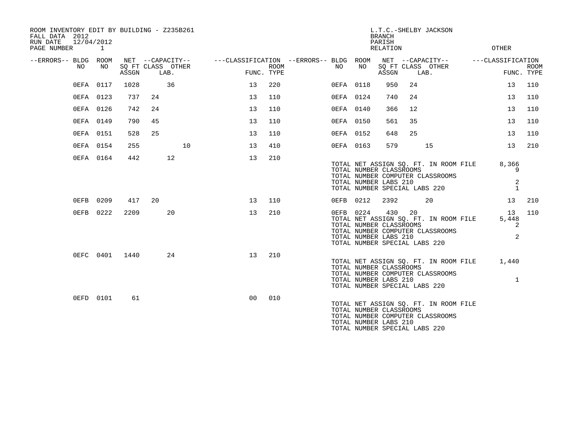| ROOM INVENTORY EDIT BY BUILDING - Z235B261<br>FALL DATA 2012<br>12/04/2012<br>RUN DATE |           |                |                                       |                                        |      |           |                                                  | <b>BRANCH</b><br>PARISH                                                                  |                                                                                                            | L.T.C.-SHELBY JACKSON                                                     |                       |             |
|----------------------------------------------------------------------------------------|-----------|----------------|---------------------------------------|----------------------------------------|------|-----------|--------------------------------------------------|------------------------------------------------------------------------------------------|------------------------------------------------------------------------------------------------------------|---------------------------------------------------------------------------|-----------------------|-------------|
| PAGE NUMBER                                                                            | 1         |                |                                       |                                        |      |           |                                                  | <b>RELATION</b>                                                                          |                                                                                                            |                                                                           | OTHER                 |             |
| --ERRORS-- BLDG ROOM<br>NO                                                             | NO        |                | NET --CAPACITY--<br>SQ FT CLASS OTHER | ---CLASSIFICATION --ERRORS-- BLDG ROOM | ROOM | NO.       | NO                                               |                                                                                          |                                                                                                            | NET --CAPACITY--<br>SQ FT CLASS OTHER                                     | ---CLASSIFICATION     | <b>ROOM</b> |
|                                                                                        |           | ASSGN          | LAB.                                  | FUNC. TYPE                             |      |           |                                                  | ASSGN                                                                                    |                                                                                                            | LAB.                                                                      | FUNC. TYPE            |             |
|                                                                                        | 0EFA 0117 | 1028           | 36                                    | 13                                     | 220  | 0EFA 0118 |                                                  | 950                                                                                      | 24                                                                                                         |                                                                           | 13                    | 110         |
|                                                                                        | 0EFA 0123 | 737            | 24                                    | 13                                     | 110  | 0EFA 0124 |                                                  | 740                                                                                      | 24                                                                                                         |                                                                           | 13                    | 110         |
|                                                                                        | 0EFA 0126 | 742            | 24                                    | 13                                     | 110  | 0EFA 0140 |                                                  | 366                                                                                      | 12                                                                                                         |                                                                           | 13                    | 110         |
|                                                                                        | 0EFA 0149 | 790            | 45                                    | 13                                     | 110  | 0EFA 0150 |                                                  | 561                                                                                      | 35                                                                                                         |                                                                           | 13                    | 110         |
|                                                                                        | 0EFA 0151 | 528            | 25                                    | 13                                     | 110  | 0EFA 0152 |                                                  | 648                                                                                      | 25                                                                                                         |                                                                           | 13                    | 110         |
|                                                                                        | 0EFA 0154 | 255            | 10                                    | 13                                     | 410  | 0EFA 0163 |                                                  | 579                                                                                      |                                                                                                            | 15                                                                        | 13                    | 210         |
|                                                                                        | 0EFA 0164 | 442            | 12                                    | 13                                     | 210  |           | TOTAL NUMBER CLASSROOMS<br>TOTAL NUMBER LABS 210 |                                                                                          | TOTAL NET ASSIGN SQ. FT. IN ROOM FILE<br>TOTAL NUMBER COMPUTER CLASSROOMS<br>TOTAL NUMBER SPECIAL LABS 220 |                                                                           | 8,366                 |             |
|                                                                                        |           |                |                                       |                                        |      |           |                                                  |                                                                                          |                                                                                                            | 2<br>$\mathbf{1}$                                                         |                       |             |
|                                                                                        | 0EFB 0209 | 417            | 20                                    | 13                                     | 110  | 0EFB 0212 |                                                  | 2392                                                                                     |                                                                                                            | 20                                                                        | 13                    | 210         |
|                                                                                        | 0EFB 0222 | 2209           | 20                                    | 13                                     | 210  | 0EFB 0224 |                                                  | 430<br>TOTAL NUMBER CLASSROOMS<br>TOTAL NUMBER LABS 210<br>TOTAL NUMBER SPECIAL LABS 220 | 20                                                                                                         | TOTAL NET ASSIGN SQ. FT. IN ROOM FILE<br>TOTAL NUMBER COMPUTER CLASSROOMS | 13<br>5,448<br>2<br>2 | 110         |
|                                                                                        |           | 0EFC 0401 1440 | 24                                    | 13                                     | 210  |           |                                                  | TOTAL NUMBER CLASSROOMS<br>TOTAL NUMBER LABS 210<br>TOTAL NUMBER SPECIAL LABS 220        |                                                                                                            | TOTAL NET ASSIGN SQ. FT. IN ROOM FILE<br>TOTAL NUMBER COMPUTER CLASSROOMS | 1,440<br>$\mathbf{1}$ |             |
|                                                                                        | 0EFD 0101 | 61             |                                       | 0 <sub>0</sub>                         | 010  |           |                                                  | TOTAL NUMBER CLASSROOMS<br>TOTAL NUMBER LABS 210<br>TOTAL NUMBER SPECIAL LABS 220        |                                                                                                            | TOTAL NET ASSIGN SQ. FT. IN ROOM FILE<br>TOTAL NUMBER COMPUTER CLASSROOMS |                       |             |